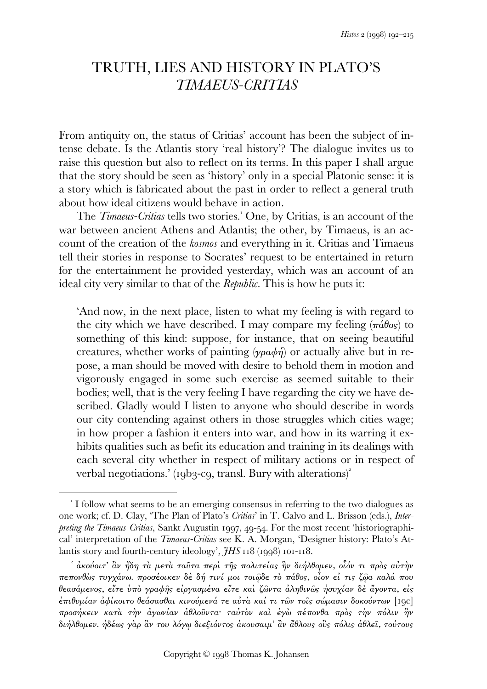## TRUTH, LIES AND HISTORY IN PLATO'S *TIMAEUS-CRITIAS*

From antiquity on, the status of Critias' account has been the subject of intense debate. Is the Atlantis story 'real history'? The dialogue invites us to raise this question but also to reflect on its terms. In this paper I shall argue that the story should be seen as 'history' only in a special Platonic sense: it is a story which is fabricated about the past in order to reflect a general truth about how ideal citizens would behave in action.

The *Timaeus-Critias* tells two stories.<sup>1</sup> One, by Critias, is an account of the war between ancient Athens and Atlantis; the other, by Timaeus, is an account of the creation of the *kosmos* and everything in it. Critias and Timaeus tell their stories in response to Socrates' request to be entertained in return for the entertainment he provided yesterday, which was an account of an ideal city very similar to that of the *Republic.* This is how he puts it:

'And now, in the next place, listen to what my feeling is with regard to the city which we have described. I may compare my feeling  $(\pi \acute{a} \theta$ os) to something of this kind: suppose, for instance, that on seeing beautiful creatures, whether works of painting  $(\gamma \rho a \phi \eta)$  or actually alive but in repose, a man should be moved with desire to behold them in motion and vigorously engaged in some such exercise as seemed suitable to their bodies; well, that is the very feeling I have regarding the city we have described. Gladly would I listen to anyone who should describe in words our city contending against others in those struggles which cities wage; in how proper a fashion it enters into war, and how in its warring it exhibits qualities such as befit its education and training in its dealings with each several city whether in respect of military actions or in respect of verbal negotiations.' (19b3-c9, transl. Bury with alterations)<sup>2</sup>

I follow what seems to be an emerging consensus in referring to the two dialogues as one work; cf. D. Clay, 'The Plan of Plato's *Critias*' in T. Calvo and L. Brisson (eds.), *Interpreting the Timaeus-Critias*, Sankt Augustin 1997, 49-54. For the most recent 'historiographical' interpretation of the *Timaeus-Critias* see K. A. Morgan, 'Designer history: Plato's Atlantis story and fourth-century ideology',  $\tilde{\jmath}$   $H\tilde{\jmath}$   $\tilde{\jmath}$   $\tilde{\jmath}$   $\tilde{\jmath}$   $\tilde{\jmath}$   $\tilde{\jmath}$   $\tilde{\jmath}$   $\tilde{\jmath}$   $\tilde{\jmath}$   $\tilde{\jmath}$   $\tilde{\jmath}$   $\tilde{\jmath}$   $\tilde{\jmath}$   $\tilde{\jmath}$   $\tilde{\jmath}$   $\tilde{\jmath}$   $\tilde{\jmath$ 

 $^{\circ}$  ἀκούοιτ' ἂν ἤδη τὰ μετὰ ταῦτα περὶ τῆς πολιτείας ἣν διήλθομεν, οἷόν τι πρὸς αὐτὴν πεπονθὼς τυγχάνω. προσέοικεν δὲ δή τινί µοι τοιῷδε τὸ πάθος, οἷον εἰ τις ζῷα καλά που θεασάµενος, εἴτε ὑπὸ γραφῆς εἰργασµένα εἴτε καὶ ζῶντα ἀληθινῶς ἡσυχίαν δὲ ἄγοντα, εἰς επιθυμίαν αφίκοιτο θεάσασθαι κινούμενά τε αὐτὰ καί τι τῶν τοῖς σώμασιν δοκούντων [19c] προσήκειν κατὰ τὴν ἀγωνίαν ἀθλοῦντα· ταὐτὸν καὶ ἐγὼ πέπονθα πρὸς τὴν πόλιν ἣν διήλθοµεν. ἡδέως γὰρ ἂν του λόγῳ διεξιόντος ἀκουσαιµ' ἂν ἄθλους οὓς πόλις ἀθλεῖ, τούτους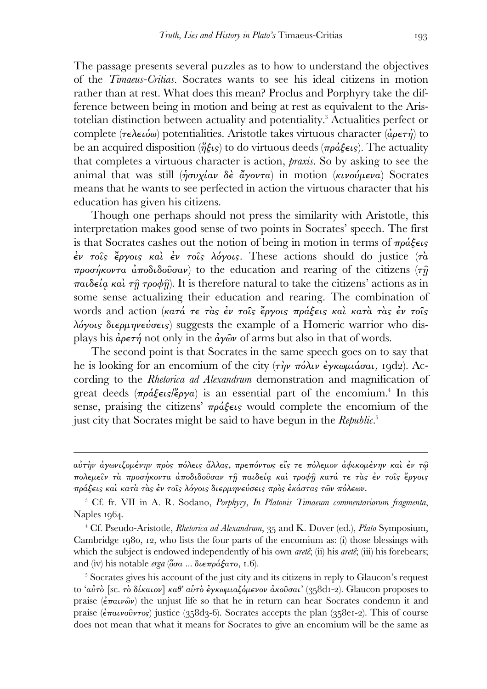The passage presents several puzzles as to how to understand the objectives of the *Timaeus-Critias*. Socrates wants to see his ideal citizens in motion rather than at rest. What does this mean? Proclus and Porphyry take the difference between being in motion and being at rest as equivalent to the Aristotelian distinction between actuality and potentiality.<sup>3</sup> Actualities perfect or complete ( $\tau \epsilon \lambda \epsilon \omega$ ) potentialities. Aristotle takes virtuous character ( $\dot{a}$  $\rho \epsilon \tau \dot{\eta}$ ) to be an acquired disposition ( $\eta \xi(s)$ ) to do virtuous deeds ( $\pi \rho \dot{\alpha} \xi \epsilon(s)$ ). The actuality that completes a virtuous character is action, *praxis*. So by asking to see the animal that was still  $(\eta \sigma v \chi \alpha \nu)$  δε άγοντα) in motion (κινούμενα) Socrates means that he wants to see perfected in action the virtuous character that his education has given his citizens.

 Though one perhaps should not press the similarity with Aristotle, this interpretation makes good sense of two points in Socrates' speech. The first is that Socrates cashes out the notion of being in motion in terms of  $\pi \rho d \xi \in \mathcal{E}$ ἐν τοῖς ἔργοις καὶ ἐν τοῖς λόγοις*.* These actions should do justice (τὰ προσήκοντα ἀποδιδοῦσαν) to the education and rearing of the citizens (τῇ παιδείᾳ καὶ τῇ τροφῇ). It is therefore natural to take the citizens' actions as in some sense actualizing their education and rearing. The combination of words and action (κατά τε τὰς ἐν τοῖς ἔργοις πράξεις καὶ κατὰ τὰς ἐν τοῖς λόγοις διερµηνεύσεις) suggests the example of a Homeric warrior who displays his  $\dot{\alpha}$ ρετή not only in the  $\dot{\alpha}$ γῶν of arms but also in that of words.

 The second point is that Socrates in the same speech goes on to say that he is looking for an encomium of the city (την πόλιν έγκωμιάσαι, **19d2**). According to the *Rhetorica ad Alexandrum* demonstration and magnification of great deeds  $(\pi \rho \dot{\alpha} \xi \epsilon \iota s \ddot{\epsilon} \rho \gamma \alpha)$  is an essential part of the encomium.<sup>4</sup> In this sense, praising the citizens'  $\pi \rho d \xi \in \mathcal{E}$  would complete the encomium of the just city that Socrates might be said to have begun in the *Republic*.

 $\overline{a}$ 

<sup>5</sup> Socrates gives his account of the just city and its citizens in reply to Glaucon's request to 'αὐτὸ [sc. τὸ δίκαιον] καθ' αὐτὸ ἐγκωμιαζόμενον ἀκοῦσαι' (358d1-2). Glaucon proposes to praise ( $\epsilon \pi a \nu \omega \nu$ ) the unjust life so that he in return can hear Socrates condemn it and praise ( $\epsilon \pi a \nu \omega \hat{\omega} \nu \tau$ os) justice (358d3-6). Socrates accepts the plan (358e1-2). This of course does not mean that what it means for Socrates to give an encomium will be the same as

αὐτὴν ἀγωνιζοµένην πρὸς πόλεις ἄλλας, πρεπόντως εἴς τε πόλεµον ἀφικοµένην καὶ ἐν τῷ πολεµεῖν τὰ προσήκοντα ἀποδιδοῦσαν τῇ παιδείᾳ καὶ τροφῇ κατά τε τὰς ἐν τοῖς ἔργοις πράξεις καὶ κατὰ τὰς ἐν τοῖς λόγοις διερµηνεύσεις πρὸς ἑκάστας τῶν πόλεων.

 Cf. fr. VII in A. R. Sodano, *Porphyry, In Platonis Timaeum commentariorum fragmenta*, Naples 1964.

<sup>&</sup>lt;sup>4</sup> Cf. Pseudo-Aristotle, *Rhetorica ad Alexandrum*, 35 and K. Dover (ed.), *Plato* Symposium, Cambridge  $1980$ ,  $12$ , who lists the four parts of the encomium as: (i) those blessings with which the subject is endowed independently of his own *aretê*; (ii) his *aretê*; (iii) his forebears; and (iv) his notable *erga* (ὅσα *...* διεπράξατο, .).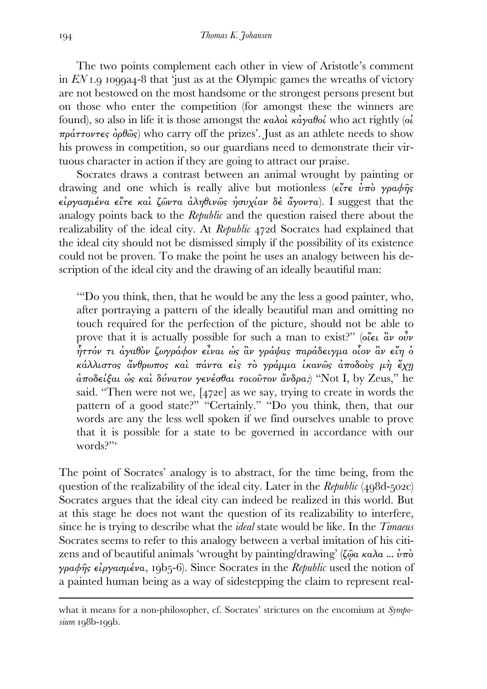The two points complement each other in view of Aristotle's comment in  $EN$  1.9 1099a4-8 that 'just as at the Olympic games the wreaths of victory are not bestowed on the most handsome or the strongest persons present but on those who enter the competition (for amongst these the winners are found), so also in life it is those amongst the καλοί κάγαθοί who act rightly (οί  $\pi \rho \acute{\alpha} \tau \tau \circ \nu \tau \epsilon$   $\dot{\gamma} \rho \theta \hat{\omega}$  who carry off the prizes'. Just as an athlete needs to show his prowess in competition, so our guardians need to demonstrate their virtuous character in action if they are going to attract our praise.

 Socrates draws a contrast between an animal wrought by painting or drawing and one which is really alive but motionless  $(\epsilon \tilde{i} \tau \epsilon \tilde{j} \tau \tilde{\sigma} \gamma \rho \alpha \phi \hat{\eta})$ εἰργασµένα εἴτε καὶ ζῶντα ἀληθινῶς ἡσυχίαν δὲ ἄγοντα). I suggest that the analogy points back to the *Republic* and the question raised there about the realizability of the ideal city. At *Republic* 472d Socrates had explained that the ideal city should not be dismissed simply if the possibility of its existence could not be proven. To make the point he uses an analogy between his description of the ideal city and the drawing of an ideally beautiful man:

'"Do you think, then, that he would be any the less a good painter, who, after portraying a pattern of the ideally beautiful man and omitting no touch required for the perfection of the picture, should not be able to prove that it is actually possible for such a man to exist?" ( $o\ddot{\epsilon}\epsilon \dot{a}v \dot{o}v$ ἧττόν τι ἀγαθὸν ζωγράφον εἶναι ὡς ἂν γράψας παράδειγµα οἷον ἂν εἴη ὁ κάλλιστος ἄνθρωπος καὶ πάντα εἰς τὸ γράµµα ἱκανῶς ἀποδοὺς µὴ ἔχῃ ἀποδείξαι ὡς καὶ δύνατον γενέσθαι τοιοῦτον ἄνδρα;) "Not I, by Zeus," he said. "Then were not we,  $[472e]$  as we say, trying to create in words the pattern of a good state?" "Certainly." "Do you think, then, that our words are any the less well spoken if we find ourselves unable to prove that it is possible for a state to be governed in accordance with our words?"'

The point of Socrates' analogy is to abstract, for the time being, from the question of the realizability of the ideal city. Later in the *Republic* (498d-502c) Socrates argues that the ideal city can indeed be realized in this world. But at this stage he does not want the question of its realizability to interfere, since he is trying to describe what the *ideal* state would be like. In the *Timaeus* Socrates seems to refer to this analogy between a verbal imitation of his citizens and of beautiful animals 'wrought by painting/drawing' (ζῷα καλα ... ὑπὸ γραφής είργασμένα,  $\log(-6)$ . Since Socrates in the *Republic* used the notion of a painted human being as a way of sidestepping the claim to represent real-

what it means for a non-philosopher, cf. Socrates' strictures on the encomium at *Sympo* $sium$  198b-199b.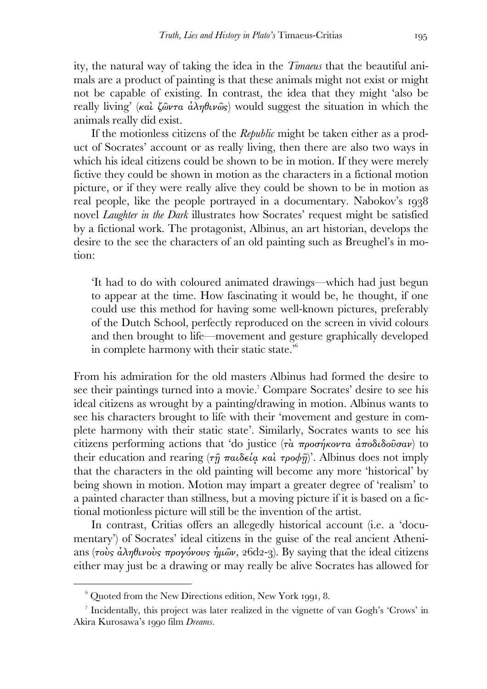ity, the natural way of taking the idea in the *Timaeus* that the beautiful animals are a product of painting is that these animals might not exist or might not be capable of existing. In contrast, the idea that they might 'also be really living' (καὶ ζῶντα ἀληθινῶς) would suggest the situation in which the animals really did exist.

 If the motionless citizens of the *Republic* might be taken either as a product of Socrates' account or as really living, then there are also two ways in which his ideal citizens could be shown to be in motion. If they were merely fictive they could be shown in motion as the characters in a fictional motion picture, or if they were really alive they could be shown to be in motion as real people, like the people portrayed in a documentary. Nabokov's novel *Laughter in the Dark* illustrates how Socrates' request might be satisfied by a fictional work. The protagonist, Albinus, an art historian, develops the desire to the see the characters of an old painting such as Breughel's in motion:

'It had to do with coloured animated drawings—which had just begun to appear at the time. How fascinating it would be, he thought, if one could use this method for having some well-known pictures, preferably of the Dutch School, perfectly reproduced on the screen in vivid colours and then brought to life—movement and gesture graphically developed in complete harmony with their static state.'<sup>6</sup>

From his admiration for the old masters Albinus had formed the desire to see their paintings turned into a movie. Compare Socrates' desire to see his ideal citizens as wrought by a painting/drawing in motion. Albinus wants to see his characters brought to life with their 'movement and gesture in complete harmony with their static state'. Similarly, Socrates wants to see his citizens performing actions that 'do justice (τὰ προσήκοντα ἀποδιδοῦσαν) to their education and rearing  $(\tau \hat{\eta} \pi a \delta \epsilon \hat{\mu} \kappa a \hat{\mu} \tau \rho o \phi \hat{\eta})$ . Albinus does not imply that the characters in the old painting will become any more 'historical' by being shown in motion. Motion may impart a greater degree of 'realism' to a painted character than stillness, but a moving picture if it is based on a fictional motionless picture will still be the invention of the artist.

 In contrast, Critias offers an allegedly historical account (i.e. a 'documentary') of Socrates' ideal citizens in the guise of the real ancient Athenians (τοὺς ἀληθινοὺς προγόνους ἡµῶν*,* d-). By saying that the ideal citizens either may just be a drawing or may really be alive Socrates has allowed for

 $^6$  Quoted from the New Directions edition, New York 1991, 8.

<sup>&</sup>lt;sup>7</sup> Incidentally, this project was later realized in the vignette of van Gogh's 'Crows' in Akira Kurosawa's 1990 film *Dreams*.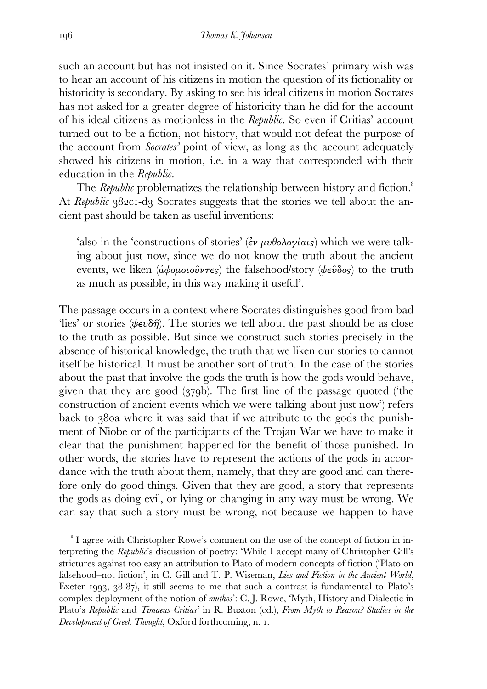such an account but has not insisted on it. Since Socrates' primary wish was to hear an account of his citizens in motion the question of its fictionality or historicity is secondary. By asking to see his ideal citizens in motion Socrates has not asked for a greater degree of historicity than he did for the account of his ideal citizens as motionless in the *Republic*. So even if Critias' account turned out to be a fiction, not history, that would not defeat the purpose of the account from *Socrates'* point of view, as long as the account adequately showed his citizens in motion, i.e. in a way that corresponded with their education in the *Republic*.

The *Republic* problematizes the relationship between history and fiction.<sup>8</sup> At *Republic* 382c1-d3 Socrates suggests that the stories we tell about the ancient past should be taken as useful inventions:

'also in the 'constructions of stories' (ἐν µυθολογίαις) which we were talking about just now, since we do not know the truth about the ancient events, we liken  $(\hat{a}\phi o\mu o\omega \hat{v}\nu \tau \epsilon s)$  the falsehood/story  $(\psi \epsilon \hat{v} \delta o s)$  to the truth as much as possible, in this way making it useful'.

The passage occurs in a context where Socrates distinguishes good from bad 'lies' or stories ( $\psi \in \delta \hat{\eta}$ ). The stories we tell about the past should be as close to the truth as possible. But since we construct such stories precisely in the absence of historical knowledge, the truth that we liken our stories to cannot itself be historical. It must be another sort of truth. In the case of the stories about the past that involve the gods the truth is how the gods would behave, given that they are good  $(379b)$ . The first line of the passage quoted ('the construction of ancient events which we were talking about just now') refers back to 380a where it was said that if we attribute to the gods the punishment of Niobe or of the participants of the Trojan War we have to make it clear that the punishment happened for the benefit of those punished. In other words, the stories have to represent the actions of the gods in accordance with the truth about them, namely, that they are good and can therefore only do good things. Given that they are good, a story that represents the gods as doing evil, or lying or changing in any way must be wrong. We can say that such a story must be wrong, not because we happen to have

<sup>&</sup>lt;sup>8</sup> I agree with Christopher Rowe's comment on the use of the concept of fiction in interpreting the *Republic*'s discussion of poetry: 'While I accept many of Christopher Gill's strictures against too easy an attribution to Plato of modern concepts of fiction ('Plato on falsehood–not fiction', in C. Gill and T. P. Wiseman, *Lies and Fiction in the Ancient World*, Exeter 1993,  $38-87$ ), it still seems to me that such a contrast is fundamental to Plato's complex deployment of the notion of *muthos*': C. J. Rowe, 'Myth, History and Dialectic in Plato's *Republic* and *Timaeus-Critias'* in R. Buxton (ed.), *From Myth to Reason? Studies in the Development of Greek Thought*, Oxford forthcoming, n. I.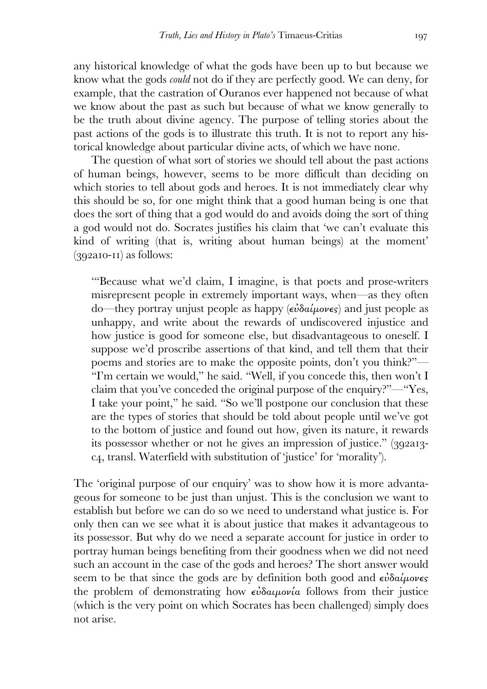any historical knowledge of what the gods have been up to but because we know what the gods *could* not do if they are perfectly good. We can deny, for example, that the castration of Ouranos ever happened not because of what we know about the past as such but because of what we know generally to be the truth about divine agency. The purpose of telling stories about the past actions of the gods is to illustrate this truth. It is not to report any historical knowledge about particular divine acts, of which we have none.

 The question of what sort of stories we should tell about the past actions of human beings, however, seems to be more difficult than deciding on which stories to tell about gods and heroes. It is not immediately clear why this should be so, for one might think that a good human being is one that does the sort of thing that a god would do and avoids doing the sort of thing a god would not do. Socrates justifies his claim that 'we can't evaluate this kind of writing (that is, writing about human beings) at the moment'  $(qqq2a10-11)$  as follows:

'"Because what we'd claim, I imagine, is that poets and prose-writers misrepresent people in extremely important ways, when—as they often do—they portray unjust people as happy (εὐδαίµονες) and just people as unhappy, and write about the rewards of undiscovered injustice and how justice is good for someone else, but disadvantageous to oneself. I suppose we'd proscribe assertions of that kind, and tell them that their poems and stories are to make the opposite points, don't you think?"— "I'm certain we would," he said. "Well, if you concede this, then won't I claim that you've conceded the original purpose of the enquiry?"—"Yes, I take your point," he said. "So we'll postpone our conclusion that these are the types of stories that should be told about people until we've got to the bottom of justice and found out how, given its nature, it rewards its possessor whether or not he gives an impression of justice." (392a13c, transl. Waterfield with substitution of 'justice' for 'morality').

The 'original purpose of our enquiry' was to show how it is more advantageous for someone to be just than unjust. This is the conclusion we want to establish but before we can do so we need to understand what justice is. For only then can we see what it is about justice that makes it advantageous to its possessor. But why do we need a separate account for justice in order to portray human beings benefiting from their goodness when we did not need such an account in the case of the gods and heroes? The short answer would seem to be that since the gods are by definition both good and  $\epsilon \dot{\nu} \delta \alpha \dot{\mu} \nu \epsilon s$ the problem of demonstrating how  $\epsilon \dot{\nu} \delta \alpha \mu \dot{\nu} \dot{\nu} \dot{\alpha}$  follows from their justice (which is the very point on which Socrates has been challenged) simply does not arise.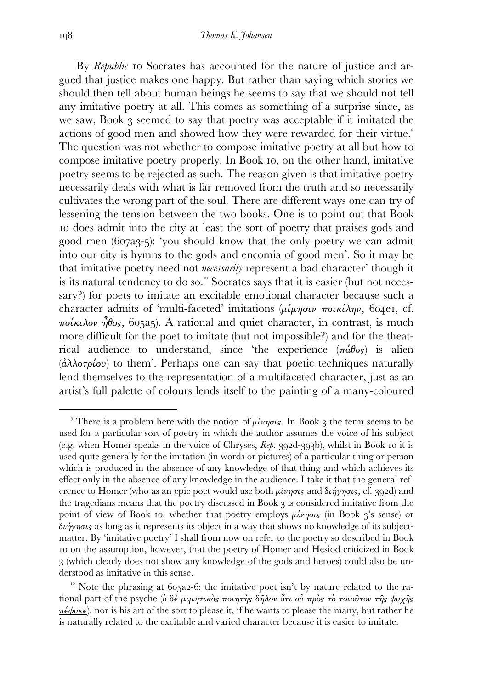By *Republic* 10 Socrates has accounted for the nature of justice and argued that justice makes one happy. But rather than saying which stories we should then tell about human beings he seems to say that we should not tell any imitative poetry at all. This comes as something of a surprise since, as we saw, Book 3 seemed to say that poetry was acceptable if it imitated the actions of good men and showed how they were rewarded for their virtue. The question was not whether to compose imitative poetry at all but how to compose imitative poetry properly. In Book 10, on the other hand, imitative poetry seems to be rejected as such. The reason given is that imitative poetry necessarily deals with what is far removed from the truth and so necessarily cultivates the wrong part of the soul. There are different ways one can try of lessening the tension between the two books. One is to point out that Book does admit into the city at least the sort of poetry that praises gods and good men  $(607a3-5)$ : 'you should know that the only poetry we can admit into our city is hymns to the gods and encomia of good men'. So it may be that imitative poetry need not *necessarily* represent a bad character' though it is its natural tendency to do so.<sup>10</sup> Socrates says that it is easier (but not necessary?) for poets to imitate an excitable emotional character because such a character admits of 'multi-faceted' imitations  $(\mu \dot{\mu} \eta \sigma \nu \pi \delta \kappa \dot{\lambda} \eta \nu)$ , 604e1, cf.  $ποι'κιλον <sup>3</sup>ηθος, 605a5$ ). A rational and quiet character, in contrast, is much more difficult for the poet to imitate (but not impossible?) and for the theatrical audience to understand, since 'the experience  $(\pi \acute{a}\theta$ os) is alien  $(\hat{\alpha}\lambda\lambda\sigma\tau\rho\omega)$  to them'. Perhaps one can say that poetic techniques naturally lend themselves to the representation of a multifaceted character, just as an artist's full palette of colours lends itself to the painting of a many-coloured

<sup>&</sup>lt;sup>9</sup> There is a problem here with the notion of  $\mu\acute{\nu}\eta\sigma\iota s$ . In Book 3 the term seems to be used for a particular sort of poetry in which the author assumes the voice of his subject (e.g. when Homer speaks in the voice of Chryses,  $\mathbb{R}_{\ell}$ , 392d-393b), whilst in Book to it is used quite generally for the imitation (in words or pictures) of a particular thing or person which is produced in the absence of any knowledge of that thing and which achieves its effect only in the absence of any knowledge in the audience. I take it that the general reference to Homer (who as an epic poet would use both  $\mu\acute{\nu}\eta\sigma\iota\varsigma$  and  $\delta\iota\acute{\eta}\gamma\eta\sigma\iota\varsigma$ , cf. 392d) and the tragedians means that the poetry discussed in Book  $\beta$  is considered imitative from the point of view of Book 10, whether that poetry employs  $\mu\ell\nu\eta\sigma\iota\varsigma$  (in Book 3's sense) or διήγησις as long as it represents its object in a way that shows no knowledge of its subjectmatter. By 'imitative poetry' I shall from now on refer to the poetry so described in Book on the assumption, however, that the poetry of Homer and Hesiod criticized in Book (which clearly does not show any knowledge of the gods and heroes) could also be understood as imitative in this sense.

 $\degree$  Note the phrasing at 605a2-6: the imitative poet isn't by nature related to the rational part of the psyche (ο δε μιμητικὸς ποιητὴς δῆλον ὅτι οὐ πρὸς τὸ τοιοῦτον τῆς ψυχῆς  $\pi \epsilon \phi v \kappa \epsilon$ , nor is his art of the sort to please it, if he wants to please the many, but rather he is naturally related to the excitable and varied character because it is easier to imitate.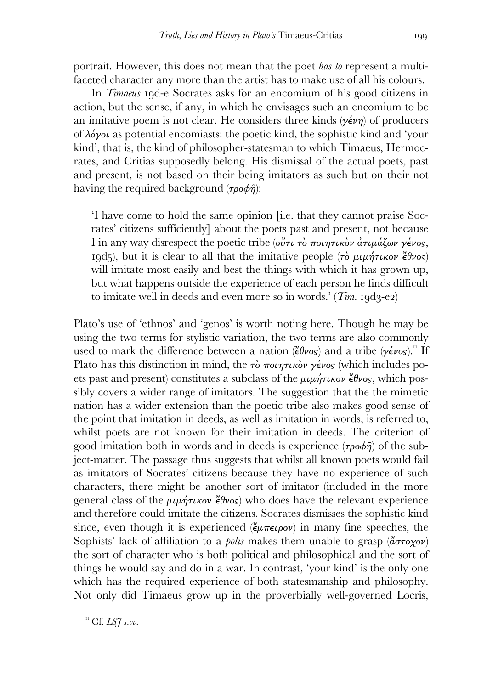portrait. However, this does not mean that the poet *has to* represent a multifaceted character any more than the artist has to make use of all his colours.

In *Timaeus* 19d-e Socrates asks for an encomium of his good citizens in action, but the sense, if any, in which he envisages such an encomium to be an imitative poem is not clear. He considers three kinds  $(\gamma \epsilon \nu \eta)$  of producers of λόγοι as potential encomiasts: the poetic kind, the sophistic kind and 'your kind', that is, the kind of philosopher-statesman to which Timaeus, Hermocrates, and Critias supposedly belong. His dismissal of the actual poets, past and present, is not based on their being imitators as such but on their not having the required background  $(\tau \rho o \phi \hat{\eta})$ :

'I have come to hold the same opinion [i.e. that they cannot praise Socrates' citizens sufficiently] about the poets past and present, not because I in any way disrespect the poetic tribe (ούτι τὸ ποιητικὸν ἀτιμάζων γένος,  $\text{Iqd5}$ , but it is clear to all that the imitative people (τὸ μιμήτικον "έθνος) will imitate most easily and best the things with which it has grown up, but what happens outside the experience of each person he finds difficult to imitate well in deeds and even more so in words.'  $(Tim. 19d3-e2)$ 

Plato's use of 'ethnos' and 'genos' is worth noting here. Though he may be using the two terms for stylistic variation, the two terms are also commonly used to mark the difference between a nation ( $\mathscr{E}$ θνος) and a tribe (γένος).<sup>"</sup> If Plato has this distinction in mind, the  $\tau\delta$  ποιητικὸν γένος (which includes poets past and present) constitutes a subclass of the  $\mu\mu\eta\tau\kappa$  ov  $\epsilon^2\theta\nu$  os, which possibly covers a wider range of imitators. The suggestion that the the mimetic nation has a wider extension than the poetic tribe also makes good sense of the point that imitation in deeds, as well as imitation in words, is referred to, whilst poets are not known for their imitation in deeds. The criterion of good imitation both in words and in deeds is experience  $(\tau \rho o \phi \hat{\eta})$  of the subject-matter. The passage thus suggests that whilst all known poets would fail as imitators of Socrates' citizens because they have no experience of such characters, there might be another sort of imitator (included in the more general class of the  $\mu\mu\eta\tau\mu\omega$   $\ell\theta\nu$  os) who does have the relevant experience and therefore could imitate the citizens. Socrates dismisses the sophistic kind since, even though it is experienced ( $\epsilon \mu \pi \epsilon \nu \rho \omega$ ) in many fine speeches, the Sophists' lack of affiliation to a *polis* makes them unable to grasp (ἄστοχον) the sort of character who is both political and philosophical and the sort of things he would say and do in a war. In contrast, 'your kind' is the only one which has the required experience of both statesmanship and philosophy. Not only did Timaeus grow up in the proverbially well-governed Locris,

Cf. *LSJ s.vv*.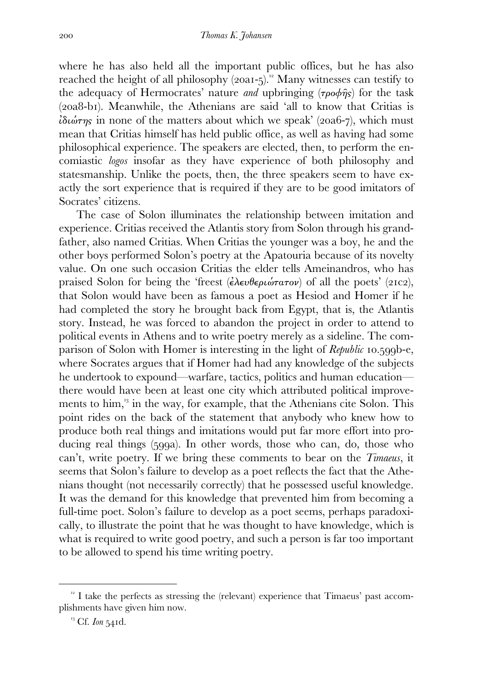where he has also held all the important public offices, but he has also reached the height of all philosophy  $(20aI-5)$ .<sup>12</sup> Many witnesses can testify to the adequacy of Hermocrates' nature *and* upbringing (τροφῆς) for the task (20a8-b1). Meanwhile, the Athenians are said 'all to know that Critias is  $i\delta\omega\sigma\eta s$  in none of the matters about which we speak' (20a6-7), which must mean that Critias himself has held public office, as well as having had some philosophical experience. The speakers are elected, then, to perform the encomiastic *logos* insofar as they have experience of both philosophy and statesmanship. Unlike the poets, then, the three speakers seem to have exactly the sort experience that is required if they are to be good imitators of Socrates' citizens.

 The case of Solon illuminates the relationship between imitation and experience. Critias received the Atlantis story from Solon through his grandfather, also named Critias. When Critias the younger was a boy, he and the other boys performed Solon's poetry at the Apatouria because of its novelty value. On one such occasion Critias the elder tells Ameinandros, who has praised Solon for being the 'freest ( $\epsilon \lambda \epsilon \nu \theta \epsilon \rho \mu \omega \tau \alpha \tau \nu$ ) of all the poets' (21c2), that Solon would have been as famous a poet as Hesiod and Homer if he had completed the story he brought back from Egypt, that is, the Atlantis story. Instead, he was forced to abandon the project in order to attend to political events in Athens and to write poetry merely as a sideline. The comparison of Solon with Homer is interesting in the light of *Republic* 10.599b-e, where Socrates argues that if Homer had had any knowledge of the subjects he undertook to expound—warfare, tactics, politics and human education there would have been at least one city which attributed political improvements to  $\lim_{n \to \infty}$  in the way, for example, that the Athenians cite Solon. This point rides on the back of the statement that anybody who knew how to produce both real things and imitations would put far more effort into producing real things  $(599a)$ . In other words, those who can, do, those who can't, write poetry. If we bring these comments to bear on the *Timaeus*, it seems that Solon's failure to develop as a poet reflects the fact that the Athenians thought (not necessarily correctly) that he possessed useful knowledge. It was the demand for this knowledge that prevented him from becoming a full-time poet. Solon's failure to develop as a poet seems, perhaps paradoxically, to illustrate the point that he was thought to have knowledge, which is what is required to write good poetry, and such a person is far too important to be allowed to spend his time writing poetry.

 $I<sup>12</sup>$  I take the perfects as stressing the (relevant) experience that Timaeus' past accomplishments have given him now.

<sup>&</sup>lt;sup>13</sup> Cf. Ion 541d.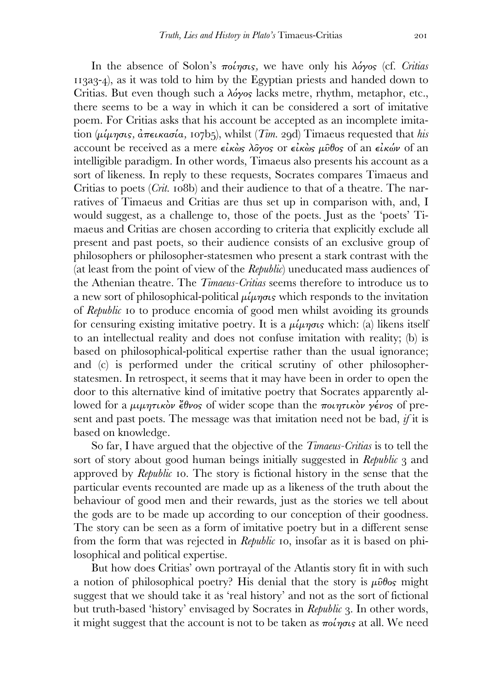In the absence of Solon's ποίησις*,* we have only his λόγος (cf. *Critias*  $113a3-4$ , as it was told to him by the Egyptian priests and handed down to Critias. But even though such a λόγος lacks metre, rhythm, metaphor, etc., there seems to be a way in which it can be considered a sort of imitative poem. For Critias asks that his account be accepted as an incomplete imitation (µίµησις*,* ἀπεικασία*,* b), whilst (*Tim.* d) Timaeus requested that *his* account be received as a mere είκὼς λδγος or είκὼς μῦθος of an είκών of an intelligible paradigm. In other words, Timaeus also presents his account as a sort of likeness. In reply to these requests, Socrates compares Timaeus and Critias to poets (*Crit.* 108b) and their audience to that of a theatre. The narratives of Timaeus and Critias are thus set up in comparison with, and, I would suggest, as a challenge to, those of the poets. Just as the 'poets' Timaeus and Critias are chosen according to criteria that explicitly exclude all present and past poets, so their audience consists of an exclusive group of philosophers or philosopher-statesmen who present a stark contrast with the (at least from the point of view of the *Republic*) uneducated mass audiences of the Athenian theatre. The *Timaeus-Critias* seems therefore to introduce us to a new sort of philosophical-political  $\mu\ell\mu\eta\sigma\kappa$  which responds to the invitation of *Republic* to produce encomia of good men whilst avoiding its grounds for censuring existing imitative poetry. It is a  $\mu\ell\mu\eta\sigma\iota\varsigma$  which: (a) likens itself to an intellectual reality and does not confuse imitation with reality; (b) is based on philosophical-political expertise rather than the usual ignorance; and (c) is performed under the critical scrutiny of other philosopherstatesmen. In retrospect, it seems that it may have been in order to open the door to this alternative kind of imitative poetry that Socrates apparently allowed for a μιμητικὸν "έθνος of wider scope than the ποιητικὸν γένος of present and past poets. The message was that imitation need not be bad, *if* it is based on knowledge.

 So far, I have argued that the objective of the *Timaeus-Critias* is to tell the sort of story about good human beings initially suggested in *Republic* 3 and approved by *Republic* 10. The story is fictional history in the sense that the particular events recounted are made up as a likeness of the truth about the behaviour of good men and their rewards, just as the stories we tell about the gods are to be made up according to our conception of their goodness. The story can be seen as a form of imitative poetry but in a different sense from the form that was rejected in *Republic* 10, insofar as it is based on philosophical and political expertise.

 But how does Critias' own portrayal of the Atlantis story fit in with such a notion of philosophical poetry? His denial that the story is  $\mu \hat{\nu} \theta$ os might suggest that we should take it as 'real history' and not as the sort of fictional but truth-based 'history' envisaged by Socrates in *Republic* 3. In other words, it might suggest that the account is not to be taken as  $\pi o \mathcal{L} \eta \sigma \mathcal{L}$  at all. We need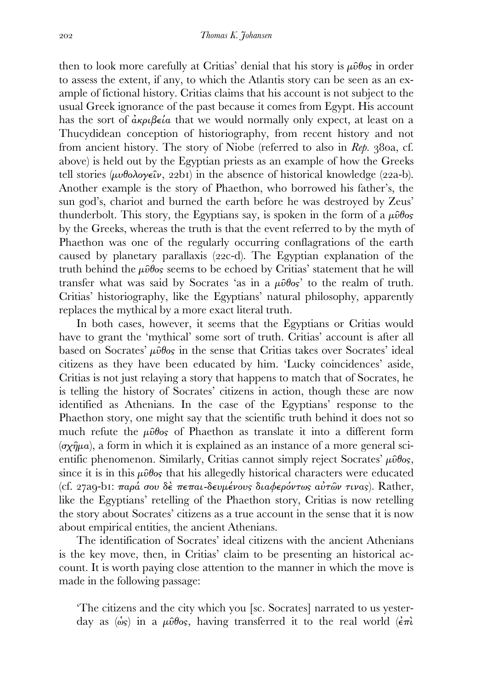then to look more carefully at Critias' denial that his story is  $\mu \hat{\nu} \theta$ os in order to assess the extent, if any, to which the Atlantis story can be seen as an example of fictional history. Critias claims that his account is not subject to the usual Greek ignorance of the past because it comes from Egypt. His account has the sort of ἀκριβεία that we would normally only expect, at least on a Thucydidean conception of historiography, from recent history and not from ancient history. The story of Niobe (referred to also in *Rep.* 380a, cf. above) is held out by the Egyptian priests as an example of how the Greeks tell stories (μυθολογεῖν, 22b1) in the absence of historical knowledge (22a-b). Another example is the story of Phaethon, who borrowed his father's, the sun god's, chariot and burned the earth before he was destroyed by Zeus' thunderbolt. This story, the Egyptians say, is spoken in the form of a  $\mu \hat{\upsilon} \theta$ os by the Greeks, whereas the truth is that the event referred to by the myth of Phaethon was one of the regularly occurring conflagrations of the earth caused by planetary parallaxis (22c-d). The Egyptian explanation of the truth behind the  $\mu \hat{\nu} \theta_{\text{OS}}$  seems to be echoed by Critias' statement that he will transfer what was said by Socrates 'as in a  $\mu \hat{\nu} \theta$ os' to the realm of truth. Critias' historiography, like the Egyptians' natural philosophy, apparently replaces the mythical by a more exact literal truth.

 In both cases, however, it seems that the Egyptians or Critias would have to grant the 'mythical' some sort of truth. Critias' account is after all based on Socrates'  $\mu \hat{\nu} \theta$ os in the sense that Critias takes over Socrates' ideal citizens as they have been educated by him. 'Lucky coincidences' aside, Critias is not just relaying a story that happens to match that of Socrates, he is telling the history of Socrates' citizens in action, though these are now identified as Athenians. In the case of the Egyptians' response to the Phaethon story, one might say that the scientific truth behind it does not so much refute the  $\mu \hat{\nu} \theta$ os of Phaethon as translate it into a different form  $(\sigma_X \hat{\eta} \mu a)$ , a form in which it is explained as an instance of a more general scientific phenomenon. Similarly, Critias cannot simply reject Socrates' µῦθος*,* since it is in this  $\mu \hat{\nu} \theta$  that his allegedly historical characters were educated (cf. 27aq-b1: παρά σου δέ πεπαι-δευμένους διαφερόντως αὐτῶν τινας). Rather, like the Egyptians' retelling of the Phaethon story, Critias is now retelling the story about Socrates' citizens as a true account in the sense that it is now about empirical entities, the ancient Athenians.

 The identification of Socrates' ideal citizens with the ancient Athenians is the key move, then, in Critias' claim to be presenting an historical account. It is worth paying close attention to the manner in which the move is made in the following passage:

'The citizens and the city which you [sc. Socrates] narrated to us yesterday as  $(\omega_s)$  in a  $\mu \hat{\nu} \theta_{\alpha s}$ , having transferred it to the real world  $(\vec{\epsilon} \pi \vec{\iota})$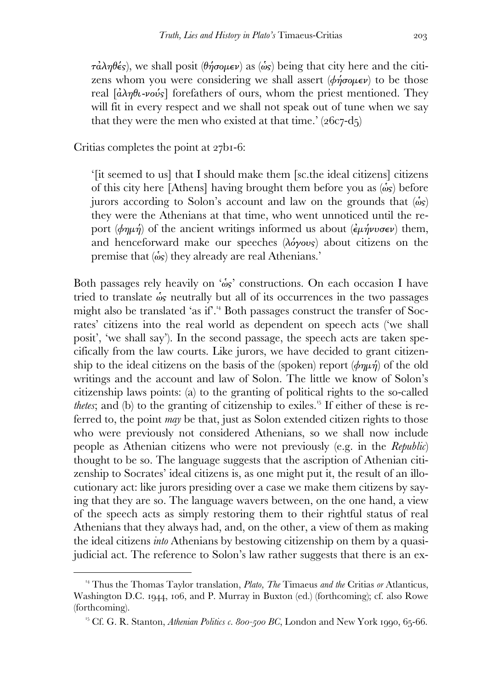$\tau \dot{\alpha} \lambda \eta \theta \dot{\epsilon}$ , we shall posit  $(\theta \dot{\eta} \dot{\sigma} \dot{\theta} \dot{\epsilon})$  as (ωs) being that city here and the citizens whom you were considering we shall assert  $(\phi \eta \sigma \omega \epsilon \nu)$  to be those real  $\left[\hat{\alpha}\lambda\eta\theta\iota\text{-}\nu\omega\omega_s\right]$  forefathers of ours, whom the priest mentioned. They will fit in every respect and we shall not speak out of tune when we say that they were the men who existed at that time.'  $(26c7-d_5)$ 

Critias completes the point at 27b1-6:

 $\overline{a}$ 

'[it seemed to us] that I should make them [sc.the ideal citizens] citizens of this city here [Athens] having brought them before you as  $\langle \dot{\omega}_s \rangle$  before jurors according to Solon's account and law on the grounds that  $\langle \dot{\omega}_s \rangle$ they were the Athenians at that time, who went unnoticed until the report  $(\phi \eta \mu \eta)$  of the ancient writings informed us about  $(\phi \eta \mu \eta \nu \sigma \epsilon \nu)$  them, and henceforward make our speeches  $(\lambda \phi \gamma \omega s)$  about citizens on the premise that  $(\mathbf{\dot{\omega}s})$  they already are real Athenians.'

Both passages rely heavily on 'ὡς' constructions. On each occasion I have tried to translate  $\dot{\omega}s$  neutrally but all of its occurrences in the two passages might also be translated 'as if'.<sup>4</sup> Both passages construct the transfer of Socrates' citizens into the real world as dependent on speech acts ('we shall posit', 'we shall say'). In the second passage, the speech acts are taken specifically from the law courts. Like jurors, we have decided to grant citizenship to the ideal citizens on the basis of the (spoken) report  $(\phi \eta \mu \eta)$  of the old writings and the account and law of Solon. The little we know of Solon's citizenship laws points: (a) to the granting of political rights to the so-called *thetes*; and (b) to the granting of citizenship to exiles.<sup>15</sup> If either of these is referred to, the point *may* be that, just as Solon extended citizen rights to those who were previously not considered Athenians, so we shall now include people as Athenian citizens who were not previously (e.g. in the *Republic*) thought to be so. The language suggests that the ascription of Athenian citizenship to Socrates' ideal citizens is, as one might put it, the result of an illocutionary act: like jurors presiding over a case we make them citizens by saying that they are so. The language wavers between, on the one hand, a view of the speech acts as simply restoring them to their rightful status of real Athenians that they always had, and, on the other, a view of them as making the ideal citizens *into* Athenians by bestowing citizenship on them by a quasijudicial act. The reference to Solon's law rather suggests that there is an ex-

<sup>&</sup>lt;sup>14</sup> Thus the Thomas Taylor translation, *Plato*, *The* Timaeus *and the* Critias *or* Atlanticus, Washington D.C. 1944, 106, and P. Murray in Buxton (ed.) (forthcoming); cf. also Rowe (forthcoming).

<sup>&</sup>lt;sup>15</sup> Cf. G. R. Stanton, *Athenian Politics c. 800-500 BC*, London and New York 1990, 65-66.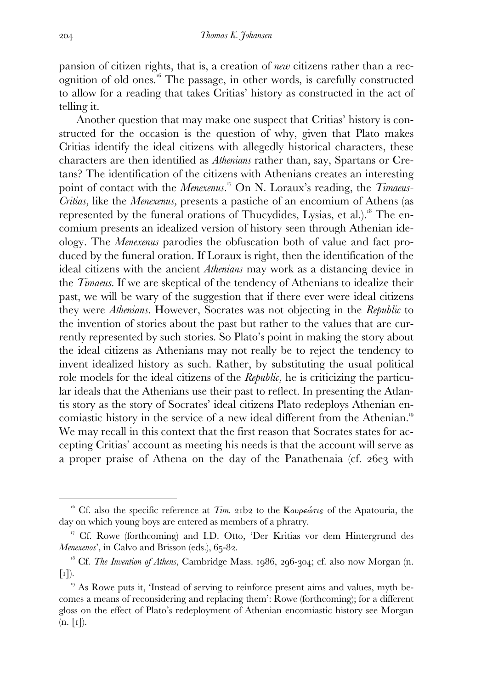pansion of citizen rights, that is, a creation of *new* citizens rather than a recognition of old ones.<sup>16</sup> The passage, in other words, is carefully constructed to allow for a reading that takes Critias' history as constructed in the act of telling it.

 Another question that may make one suspect that Critias' history is constructed for the occasion is the question of why, given that Plato makes Critias identify the ideal citizens with allegedly historical characters, these characters are then identified as *Athenians* rather than, say, Spartans or Cretans? The identification of the citizens with Athenians creates an interesting point of contact with the *Menexenus*.<sup>17</sup> On N. Loraux's reading, the *Timaeus*-*Critias,* like the *Menexenus,* presents a pastiche of an encomium of Athens (as represented by the funeral orations of Thucydides, Lysias, et al.).<sup>18</sup> The encomium presents an idealized version of history seen through Athenian ideology. The *Menexenus* parodies the obfuscation both of value and fact produced by the funeral oration. If Loraux is right, then the identification of the ideal citizens with the ancient *Athenians* may work as a distancing device in the *Timaeus*. If we are skeptical of the tendency of Athenians to idealize their past, we will be wary of the suggestion that if there ever were ideal citizens they were *Athenians*. However, Socrates was not objecting in the *Republic* to the invention of stories about the past but rather to the values that are currently represented by such stories. So Plato's point in making the story about the ideal citizens as Athenians may not really be to reject the tendency to invent idealized history as such. Rather, by substituting the usual political role models for the ideal citizens of the *Republic,* he is criticizing the particular ideals that the Athenians use their past to reflect. In presenting the Atlantis story as the story of Socrates' ideal citizens Plato redeploys Athenian encomiastic history in the service of a new ideal different from the Athenian. We may recall in this context that the first reason that Socrates states for accepting Critias' account as meeting his needs is that the account will serve as a proper praise of Athena on the day of the Panathenaia (cf. 26e3 with

<sup>&</sup>lt;sup>16</sup> Cf. also the specific reference at *Tim.* 21b2 to the Kovpeώτις of the Apatouria, the day on which young boys are entered as members of a phratry.

<sup>&</sup>lt;sup>17</sup> Cf. Rowe (forthcoming) and I.D. Otto, 'Der Kritias vor dem Hintergrund des *Menexenos*', in Calvo and Brisson (eds.), 65-82.

<sup>&</sup>lt;sup>18</sup> Cf. *The Invention of Athens*, Cambridge Mass. 1986, 296-304; cf. also now Morgan (n.  $\lceil 1 \rceil$ ).

<sup>&</sup>lt;sup>19</sup> As Rowe puts it, 'Instead of serving to reinforce present aims and values, myth becomes a means of reconsidering and replacing them': Rowe (forthcoming); for a different gloss on the effect of Plato's redeployment of Athenian encomiastic history see Morgan  $(n, [1]).$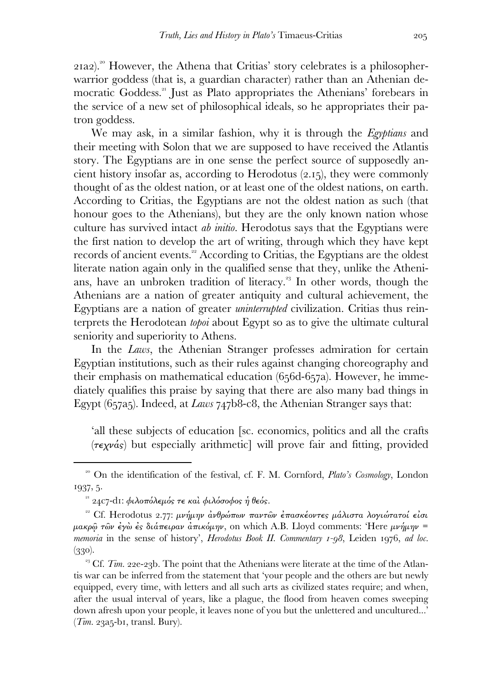21a2).<sup>20</sup> However, the Athena that Critias' story celebrates is a philosopherwarrior goddess (that is, a guardian character) rather than an Athenian democratic Goddess.<sup>21</sup> Just as Plato appropriates the Athenians' forebears in the service of a new set of philosophical ideals, so he appropriates their patron goddess.

 We may ask, in a similar fashion, why it is through the *Egyptians* and their meeting with Solon that we are supposed to have received the Atlantis story. The Egyptians are in one sense the perfect source of supposedly ancient history insofar as, according to Herodotus  $(2.15)$ , they were commonly thought of as the oldest nation, or at least one of the oldest nations, on earth. According to Critias, the Egyptians are not the oldest nation as such (that honour goes to the Athenians), but they are the only known nation whose culture has survived intact *ab initio*. Herodotus says that the Egyptians were the first nation to develop the art of writing, through which they have kept records of ancient events.<sup>22</sup> According to Critias, the Egyptians are the oldest literate nation again only in the qualified sense that they, unlike the Athenians, have an unbroken tradition of literacy.<sup>23</sup> In other words, though the Athenians are a nation of greater antiquity and cultural achievement, the Egyptians are a nation of greater *uninterrupted* civilization. Critias thus reinterprets the Herodotean *topoi* about Egypt so as to give the ultimate cultural seniority and superiority to Athens.

 In the *Laws*, the Athenian Stranger professes admiration for certain Egyptian institutions, such as their rules against changing choreography and their emphasis on mathematical education  $(656d-657a)$ . However, he immediately qualifies this praise by saying that there are also many bad things in Egypt (657a5). Indeed, at *Laws* 747b8-c8, the Athenian Stranger says that:

'all these subjects of education [sc. economics, politics and all the crafts  $(\tau \in \mathcal{X} \times \mathcal{Y} \times \mathcal{Y})$  but especially arithmetic will prove fair and fitting, provided

On the identification of the festival, cf. F. M. Cornford, *Plato's Cosmology*, London  $1937, 5$ .

<sup>&</sup>lt;sup>21</sup> 24C7-d1: φιλοπόλεμός τε και φιλόσοφος ή θεός.

<sup>&</sup>lt;sup>22</sup> Cf. Herodotus 2.77: μνήμην ανθρώπων παντῶν επασκέοντες μάλιστα λογιώτατοί είσι μακρῶ τῶν ἐγὼ ἐς διάπειραν ἀπικόμην, on which A.B. Lloyd comments: 'Here μνήμην = *memoria* in the sense of history', *Herodotus Book II. Commentary 1-98*, Leiden 1976, ad loc.  $(330).$ 

<sup>&</sup>lt;sup>23</sup> Cf. *Tim.* 22e-23b. The point that the Athenians were literate at the time of the Atlantis war can be inferred from the statement that 'your people and the others are but newly equipped, every time, with letters and all such arts as civilized states require; and when, after the usual interval of years, like a plague, the flood from heaven comes sweeping down afresh upon your people, it leaves none of you but the unlettered and uncultured...'  $(Tim. 23a5-b1, transl. Bury).$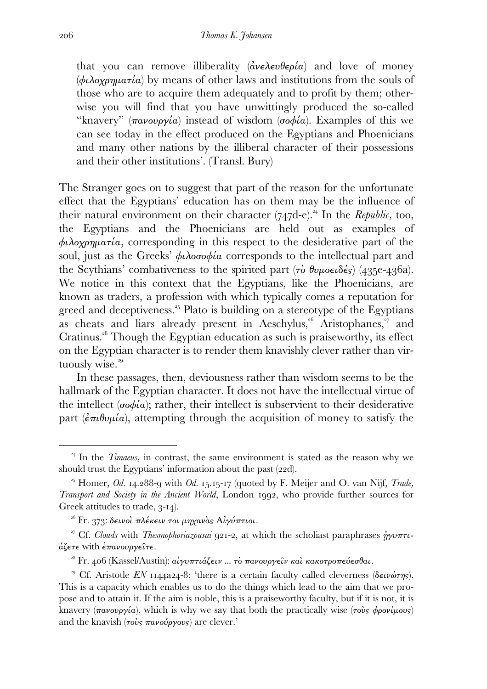that you can remove illiberality ( $\hat{a}$ νελευθερία) and love of money ( $\phi \iota \lambda$ oχρηματία) by means of other laws and institutions from the souls of those who are to acquire them adequately and to profit by them; otherwise you will find that you have unwittingly produced the so-called "knavery" (πανουργία) instead of wisdom (σοφία). Examples of this we can see today in the effect produced on the Egyptians and Phoenicians and many other nations by the illiberal character of their possessions and their other institutions'. (Transl. Bury)

The Stranger goes on to suggest that part of the reason for the unfortunate effect that the Egyptians' education has on them may be the influence of their natural environment on their character  $(747d-e)^{24}$  In the *Republic*, too, the Egyptians and the Phoenicians are held out as examples of  $\phi \iota \lambda \alpha \gamma \rho \eta \mu \alpha \tau \iota' \alpha$ , corresponding in this respect to the desiderative part of the soul, just as the Greeks'  $\phi \iota \lambda \sigma \sigma \phi \iota' \alpha$  corresponds to the intellectual part and the Scythians' combativeness to the spirited part (τὸ θυμοειδές) (435e-436a). We notice in this context that the Egyptians, like the Phoenicians, are known as traders, a profession with which typically comes a reputation for greed and deceptiveness.<sup>25</sup> Plato is building on a stereotype of the Egyptians as cheats and liars already present in Aeschylus,<sup>26</sup> Aristophanes,<sup>27</sup> and Cratinus.<sup>28</sup> Though the Egyptian education as such is praiseworthy, its effect on the Egyptian character is to render them knavishly clever rather than virtuously wise.<sup>29</sup>

 In these passages, then, deviousness rather than wisdom seems to be the hallmark of the Egyptian character. It does not have the intellectual virtue of the intellect  $(\sigma \circ \phi \circ \alpha)$ ; rather, their intellect is subservient to their desiderative part ( $\epsilon \pi \theta \nu \mu' \alpha$ ), attempting through the acquisition of money to satisfy the

 $I<sup>24</sup>$  In the *Timaeus*, in contrast, the same environment is stated as the reason why we should trust the Egyptians' information about the past  $(22d)$ .

<sup>&</sup>lt;sup>25</sup> Homer, *Od.* 14.288-9 with *Od.* 15.15-17 (quoted by F. Meijer and O. van Nijf, *Trade*, *Transport and Society in the Ancient World*, London 1992, who provide further sources for Greek attitudes to trade,  $3-14$ .

<sup>&</sup>lt;sup>26</sup> Fr. 373: δεινοί πλέκειν τοι μηχανάς Αίγύπτιοι.

<sup>&</sup>lt;sup>27</sup> Cf. *Clouds* with *Thesmophoriazousai* 921-2, at which the scholiast paraphrases  $\dot{\eta}$ γυπτιάζετε with ἐπανουργεῖτε*.*

<sup>&</sup>lt;sup>28</sup> Fr. 406 (Kassel/Austin): αίγυπτιάζειν ... τὸ πανουργεῖν καὶ κακοτροπεύεσθαι.

<sup>&</sup>lt;sup>29</sup> Cf. Aristotle *EN* 1144a24-8: 'there is a certain faculty called cleverness (δεινώτης). This is a capacity which enables us to do the things which lead to the aim that we propose and to attain it. If the aim is noble, this is a praiseworthy faculty, but if it is not, it is knavery ( $\pi \alpha \nu \omega \rho \gamma \alpha$ ), which is why we say that both the practically wise ( $\tau \omega \gamma \delta \rho \omega \nu \mu \omega \nu$ s) and the knavish  $(\tau o \dot{v} s \pi a \nu o \dot{v} \rho \gamma o \nu s)$  are clever.'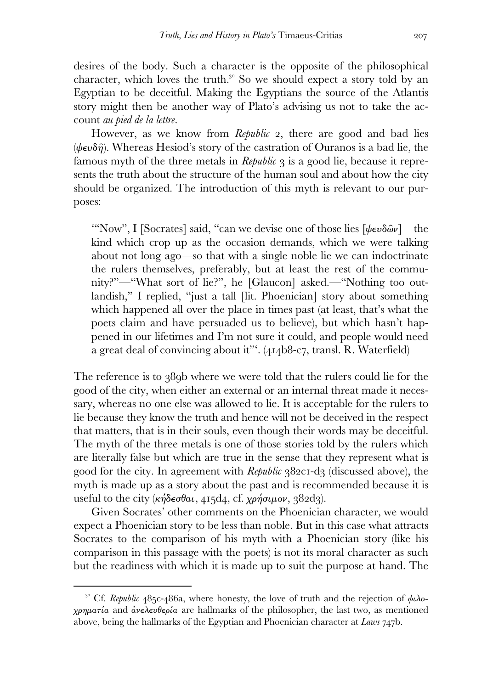desires of the body. Such a character is the opposite of the philosophical character, which loves the truth.<sup>30</sup> So we should expect a story told by an Egyptian to be deceitful. Making the Egyptians the source of the Atlantis story might then be another way of Plato's advising us not to take the account *au pied de la lettre*.

However, as we know from *Republic* 2, there are good and bad lies (ψευδῆ). Whereas Hesiod's story of the castration of Ouranos is a bad lie, the famous myth of the three metals in *Republic* 3 is a good lie, because it represents the truth about the structure of the human soul and about how the city should be organized. The introduction of this myth is relevant to our purposes:

"Now", I [Socrates] said, "can we devise one of those lies  $[\psi \epsilon \omega \delta \hat{\omega} \nu]$  —the kind which crop up as the occasion demands, which we were talking about not long ago—so that with a single noble lie we can indoctrinate the rulers themselves, preferably, but at least the rest of the community?"—"What sort of lie?", he [Glaucon] asked.—"Nothing too outlandish," I replied, "just a tall [lit. Phoenician] story about something which happened all over the place in times past (at least, that's what the poets claim and have persuaded us to believe), but which hasn't happened in our lifetimes and I'm not sure it could, and people would need a great deal of convincing about it"'.  $(414b8-c7,$  transl. R. Waterfield)

The reference is to 389b where we were told that the rulers could lie for the good of the city, when either an external or an internal threat made it necessary, whereas no one else was allowed to lie. It is acceptable for the rulers to lie because they know the truth and hence will not be deceived in the respect that matters, that is in their souls, even though their words may be deceitful. The myth of the three metals is one of those stories told by the rulers which are literally false but which are true in the sense that they represent what is good for the city. In agreement with *Republic* 382c1-d3 (discussed above), the myth is made up as a story about the past and is recommended because it is useful to the city  $(\kappa \eta \delta \epsilon \sigma \theta \alpha \iota, 415d4, cf. \chi \rho \eta \sigma \mu \omega \nu, 382d3).$ 

 Given Socrates' other comments on the Phoenician character, we would expect a Phoenician story to be less than noble. But in this case what attracts Socrates to the comparison of his myth with a Phoenician story (like his comparison in this passage with the poets) is not its moral character as such but the readiness with which it is made up to suit the purpose at hand. The

<sup>&</sup>lt;sup>30</sup> Cf. *Republic* 485c-486a, where honesty, the love of truth and the rejection of  $\phi \iota \lambda$ oχρηµατία and ἀνελευθερία are hallmarks of the philosopher, the last two, as mentioned above, being the hallmarks of the Egyptian and Phoenician character at *Laws* 747b.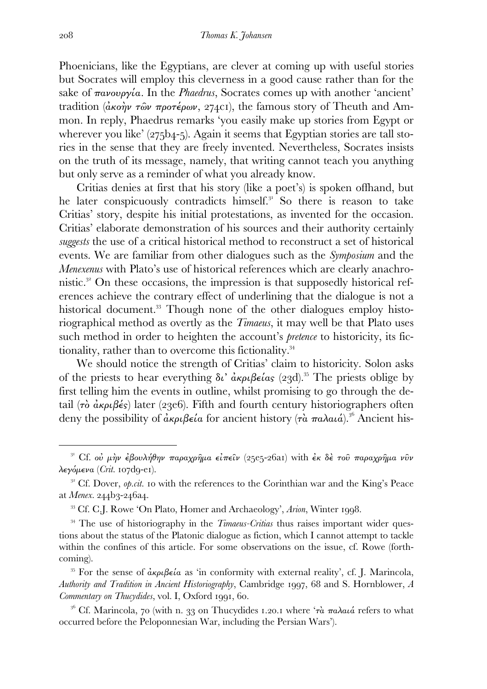Phoenicians, like the Egyptians, are clever at coming up with useful stories but Socrates will employ this cleverness in a good cause rather than for the sake of πανουργία. In the *Phaedrus*, Socrates comes up with another 'ancient' tradition ( $\alpha$ κοήν τῶν προτέρων, 274c1), the famous story of Theuth and Ammon. In reply, Phaedrus remarks 'you easily make up stories from Egypt or wherever you like'  $(275b4-5)$ . Again it seems that Egyptian stories are tall stories in the sense that they are freely invented. Nevertheless, Socrates insists on the truth of its message, namely, that writing cannot teach you anything but only serve as a reminder of what you already know.

 Critias denies at first that his story (like a poet's) is spoken offhand, but he later conspicuously contradicts himself.<sup>31</sup> So there is reason to take Critias' story, despite his initial protestations, as invented for the occasion. Critias' elaborate demonstration of his sources and their authority certainly *suggests* the use of a critical historical method to reconstruct a set of historical events. We are familiar from other dialogues such as the *Symposium* and the *Menexenus* with Plato's use of historical references which are clearly anachronistic.<sup> $32$ </sup> On these occasions, the impression is that supposedly historical references achieve the contrary effect of underlining that the dialogue is not a historical document.<sup>33</sup> Though none of the other dialogues employ historiographical method as overtly as the *Timaeus*, it may well be that Plato uses such method in order to heighten the account's *pretence* to historicity, its fictionality, rather than to overcome this fictionality.<sup>34</sup>

We should notice the strength of Critias' claim to historicity. Solon asks of the priests to hear everything  $\delta$ ι'  $\alpha \kappa \rho \iota \beta \epsilon i$  (as (23d).<sup>35</sup> The priests oblige by first telling him the events in outline, whilst promising to go through the detail (τὸ ἀκριβές) later (23e6). Fifth and fourth century historiographers often deny the possibility of  $\alpha \kappa \rho \beta \epsilon \alpha$  for ancient history (τὰ παλαιά).<sup>36</sup> Ancient his-

<sup>&</sup>lt;sup>31</sup> Cf. οὐ μὴν ἐβουλήθην παραχρῆμα εἰπεῖν (25e5-26a1) with ἐκ δὲ τοῦ παραχρῆμα νῦν λεγόμενα (Crit. 107dq-e1).

<sup>&</sup>lt;sup>32</sup> Cf. Dover, *op.cit.* 10 with the references to the Corinthian war and the King's Peace at *Menex.* 244b3-246a4.

<sup>&</sup>lt;sup>33</sup> Cf. C.J. Rowe 'On Plato, Homer and Archaeology', *Arion*, Winter 1998.

<sup>&</sup>lt;sup>34</sup> The use of historiography in the *Timaeus-Critias* thus raises important wider questions about the status of the Platonic dialogue as fiction, which I cannot attempt to tackle within the confines of this article. For some observations on the issue, cf. Rowe (forthcoming).

<sup>&</sup>lt;sup>35</sup> For the sense of  $\alpha \kappa \rho \beta \epsilon \alpha$  as 'in conformity with external reality', cf. J. Marincola, *Authority and Tradition in Ancient Historiography*, Cambridge 1997, 68 and S. Hornblower, *A Commentary on Thucydides, vol. I, Oxford 1991, 60.* 

<sup>&</sup>lt;sup>36</sup> Cf. Marincola, 70 (with n. 33 on Thucydides 1.20.1 where 'τὰ παλαιά refers to what occurred before the Peloponnesian War, including the Persian Wars').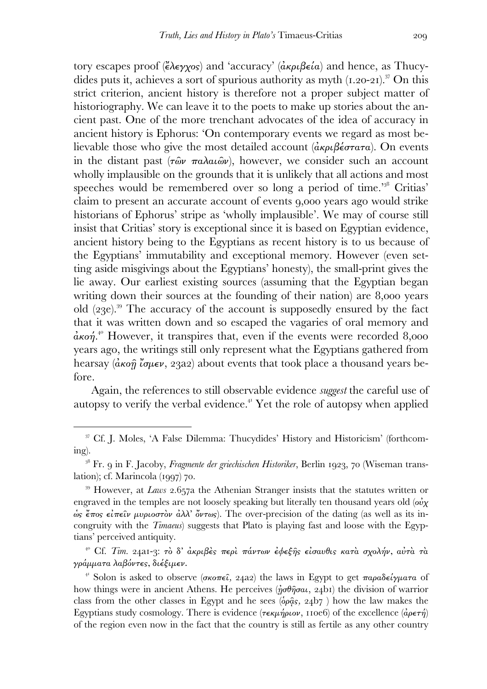tory escapes proof ( $\epsilon \to \epsilon \gamma \gamma$ ος) and 'accuracy' ( $\alpha \kappa \rho \epsilon \epsilon \alpha$ ) and hence, as Thucydides puts it, achieves a sort of spurious authority as myth  $(1.20-21).$ <sup>37</sup> On this strict criterion, ancient history is therefore not a proper subject matter of historiography. We can leave it to the poets to make up stories about the ancient past. One of the more trenchant advocates of the idea of accuracy in ancient history is Ephorus: 'On contemporary events we regard as most believable those who give the most detailed account  $(\alpha \kappa \rho \beta \epsilon \sigma \tau \alpha \tau \alpha)$ . On events in the distant past  $(\tau \hat{\omega} \nu \pi \alpha \lambda \alpha \hat{\omega} \nu)$ , however, we consider such an account wholly implausible on the grounds that it is unlikely that all actions and most speeches would be remembered over so long a period of time.<sup>38</sup> Critias' claim to present an accurate account of events 9,000 years ago would strike historians of Ephorus' stripe as 'wholly implausible'. We may of course still insist that Critias' story is exceptional since it is based on Egyptian evidence, ancient history being to the Egyptians as recent history is to us because of the Egyptians' immutability and exceptional memory. However (even setting aside misgivings about the Egyptians' honesty), the small-print gives the lie away. Our earliest existing sources (assuming that the Egyptian began writing down their sources at the founding of their nation) are  $8,000$  years old  $(23e)^{39}$ . The accuracy of the account is supposedly ensured by the fact that it was written down and so escaped the vagaries of oral memory and  $\partial x$  and  $\partial$ <sup>40</sup> However, it transpires that, even if the events were recorded 8,000 years ago, the writings still only represent what the Egyptians gathered from hearsay ( $\hat{\alpha}$ κο $\hat{\eta}$  (σμεν, 23a2) about events that took place a thousand years before.

 Again, the references to still observable evidence *suggest* the careful use of autopsy to verify the verbal evidence.<sup>41</sup> Yet the role of autopsy when applied

Cf. J. Moles, 'A False Dilemma: Thucydides' History and Historicism' (forthcoming).

<sup>&</sup>lt;sup>38</sup> Fr. 9 in F. Jacoby, *Fragmente der griechischen Historiker*, Berlin 1923, 70 (Wiseman translation); cf. Marincola  $(1997)$  70.

 $39$  However, at *Laws* 2.657a the Athenian Stranger insists that the statutes written or engraved in the temples are not loosely speaking but literally ten thousand years old  $\langle o\dot{v}\rangle$  $\omega$ ς έπος είπεῖν μυριοστὸν ἀλλ' ὄντως). The over-precision of the dating (as well as its incongruity with the *Timaeus*) suggests that Plato is playing fast and loose with the Egyptians' perceived antiquity.

<sup>&</sup>lt;sup>40</sup> Cf. *Tim.* 2421-3: τὸ δ' ἀκριβές περὶ πάντων ἐφεξης είσαυθις κατὰ σχολήν, αὐτὰ τὰ γράµµατα λαβόντες, διέξιµεν.

<sup>&</sup>lt;sup>4</sup> Solon is asked to observe (σκοπεί, 24a2) the laws in Egypt to get παραδείγματα of how things were in ancient Athens. He perceives  $(\hat{\eta} \sigma \theta) \hat{\eta} \sigma \alpha \hat{\mu}$ , 24b1) the division of warrior class from the other classes in Egypt and he sees  $(\delta \rho \hat{\alpha}_s, 24b7)$  how the law makes the Egyptians study cosmology. There is evidence ( $\tau \epsilon \kappa \mu \eta \rho \iota \omega$ , 110e6) of the excellence ( $\alpha \rho \epsilon \tau \eta$ ) of the region even now in the fact that the country is still as fertile as any other country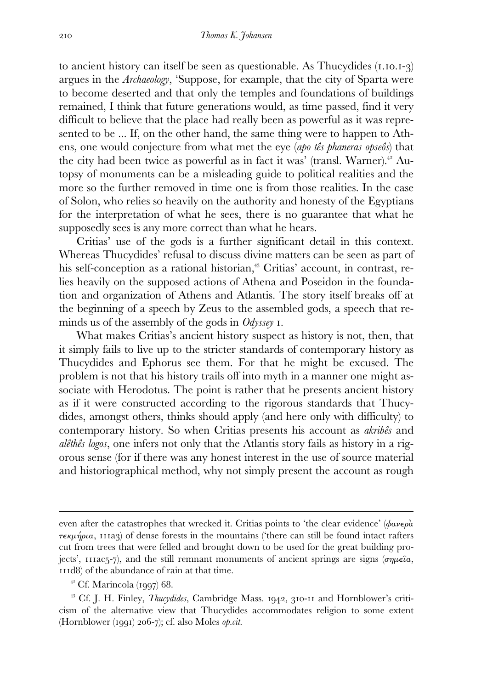to ancient history can itself be seen as questionable. As Thucydides  $(I.I.O.I-3)$ argues in the *Archaeology*, 'Suppose, for example, that the city of Sparta were to become deserted and that only the temples and foundations of buildings remained, I think that future generations would, as time passed, find it very difficult to believe that the place had really been as powerful as it was represented to be ... If, on the other hand, the same thing were to happen to Athens, one would conjecture from what met the eye (*apo tês phaneras opseôs*) that the city had been twice as powerful as in fact it was' (transl. Warner).<sup>42</sup> Autopsy of monuments can be a misleading guide to political realities and the more so the further removed in time one is from those realities. In the case of Solon, who relies so heavily on the authority and honesty of the Egyptians for the interpretation of what he sees, there is no guarantee that what he supposedly sees is any more correct than what he hears.

 Critias' use of the gods is a further significant detail in this context. Whereas Thucydides' refusal to discuss divine matters can be seen as part of his self-conception as a rational historian,<sup>43</sup> Critias' account, in contrast, relies heavily on the supposed actions of Athena and Poseidon in the foundation and organization of Athens and Atlantis. The story itself breaks off at the beginning of a speech by Zeus to the assembled gods, a speech that reminds us of the assembly of the gods in *Odyssey* .

 What makes Critias's ancient history suspect as history is not, then, that it simply fails to live up to the stricter standards of contemporary history as Thucydides and Ephorus see them. For that he might be excused. The problem is not that his history trails off into myth in a manner one might associate with Herodotus. The point is rather that he presents ancient history as if it were constructed according to the rigorous standards that Thucydides, amongst others, thinks should apply (and here only with difficulty) to contemporary history. So when Critias presents his account as *akribês* and *alêthês logos*, one infers not only that the Atlantis story fails as history in a rigorous sense (for if there was any honest interest in the use of source material and historiographical method, why not simply present the account as rough

even after the catastrophes that wrecked it. Critias points to 'the clear evidence' ( $\phi a \nu \epsilon \rho \dot{\alpha}$  $τ$ εκμήρια, 111a<sub>3</sub>) of dense forests in the mountains ('there can still be found intact rafters cut from trees that were felled and brought down to be used for the great building projects', 111ac<sub>5</sub>-7), and the still remnant monuments of ancient springs are signs (σημεΐα, 111d8) of the abundance of rain at that time.

 $4^2$  Cf. Marincola (1997) 68.

<sup>&</sup>lt;sup>43</sup> Cf. J. H. Finley, *Thucydides*, Cambridge Mass. 1942, 310-11 and Hornblower's criticism of the alternative view that Thucydides accommodates religion to some extent (Hornblower (1991) 206-7); cf. also Moles *op.cit.*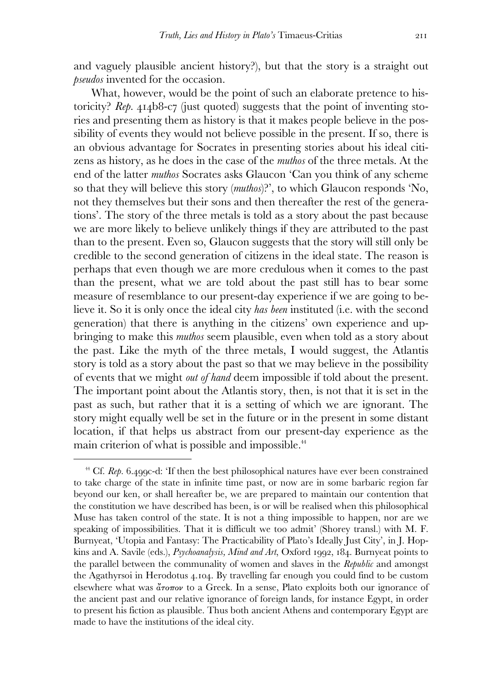and vaguely plausible ancient history?), but that the story is a straight out *pseudos* invented for the occasion.

 What, however, would be the point of such an elaborate pretence to historicity? *Rep.*  $414b8-c7$  (just quoted) suggests that the point of inventing stories and presenting them as history is that it makes people believe in the possibility of events they would not believe possible in the present. If so, there is an obvious advantage for Socrates in presenting stories about his ideal citizens as history, as he does in the case of the *muthos* of the three metals. At the end of the latter *muthos* Socrates asks Glaucon 'Can you think of any scheme so that they will believe this story (*muthos*)?', to which Glaucon responds 'No, not they themselves but their sons and then thereafter the rest of the generations'. The story of the three metals is told as a story about the past because we are more likely to believe unlikely things if they are attributed to the past than to the present. Even so, Glaucon suggests that the story will still only be credible to the second generation of citizens in the ideal state. The reason is perhaps that even though we are more credulous when it comes to the past than the present, what we are told about the past still has to bear some measure of resemblance to our present-day experience if we are going to believe it. So it is only once the ideal city *has been* instituted (i.e. with the second generation) that there is anything in the citizens' own experience and upbringing to make this *muthos* seem plausible, even when told as a story about the past. Like the myth of the three metals, I would suggest, the Atlantis story is told as a story about the past so that we may believe in the possibility of events that we might *out of hand* deem impossible if told about the present. The important point about the Atlantis story, then, is not that it is set in the past as such, but rather that it is a setting of which we are ignorant. The story might equally well be set in the future or in the present in some distant location, if that helps us abstract from our present-day experience as the main criterion of what is possible and impossible.<sup>44</sup>

 $44$  Cf. *Rep.* 6.499c-d: 'If then the best philosophical natures have ever been constrained to take charge of the state in infinite time past, or now are in some barbaric region far beyond our ken, or shall hereafter be, we are prepared to maintain our contention that the constitution we have described has been, is or will be realised when this philosophical Muse has taken control of the state. It is not a thing impossible to happen, nor are we speaking of impossibilities. That it is difficult we too admit' (Shorey transl.) with M. F. Burnyeat, 'Utopia and Fantasy: The Practicability of Plato's Ideally Just City', in J. Hopkins and A. Savile (eds.), *Psychoanalysis, Mind and Art*, Oxford 1992, 184. Burnyeat points to the parallel between the communality of women and slaves in the *Republic* and amongst the Agathyrsoi in Herodotus 4.104. By travelling far enough you could find to be custom elsewhere what was ἄτοπον to a Greek. In a sense, Plato exploits both our ignorance of the ancient past and our relative ignorance of foreign lands, for instance Egypt, in order to present his fiction as plausible. Thus both ancient Athens and contemporary Egypt are made to have the institutions of the ideal city.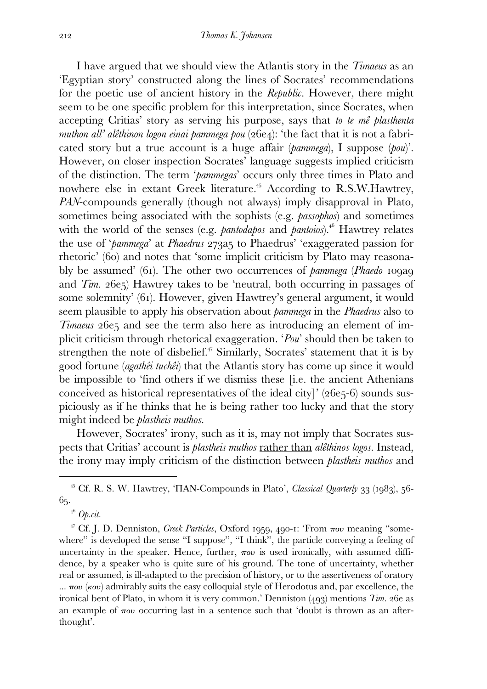I have argued that we should view the Atlantis story in the *Timaeus* as an 'Egyptian story' constructed along the lines of Socrates' recommendations for the poetic use of ancient history in the *Republic*. However, there might seem to be one specific problem for this interpretation, since Socrates, when accepting Critias' story as serving his purpose, says that *to te mê plasthenta muthon all' alêthinon logon einai pammega pou* (26e4): 'the fact that it is not a fabricated story but a true account is a huge affair (*pammega*), I suppose (*pou*)'. However, on closer inspection Socrates' language suggests implied criticism of the distinction. The term '*pammegas*' occurs only three times in Plato and nowhere else in extant Greek literature.<sup>45</sup> According to R.S.W.Hawtrey, *PAN*-compounds generally (though not always) imply disapproval in Plato, sometimes being associated with the sophists (e.g. *passophos*) and sometimes with the world of the senses (e.g. *pantodapos* and *pantoios*).<sup>46</sup> Hawtrey relates the use of '*pammega*' at *Phaedrus* 273a<sub>5</sub> to Phaedrus' 'exaggerated passion for rhetoric' (60) and notes that 'some implicit criticism by Plato may reasonably be assumed' (61). The other two occurrences of *pammega* (*Phaedo* 109a9) and  $\overline{T}$ *im.* 26 $\overline{e}$ <sub>5</sub>) Hawtrey takes to be 'neutral, both occurring in passages of some solemnity' (61). However, given Hawtrey's general argument, it would seem plausible to apply his observation about *pammega* in the *Phaedrus* also to *Timaeus* 26e5 and see the term also here as introducing an element of implicit criticism through rhetorical exaggeration. '*Pou*' should then be taken to strengthen the note of disbelief. $47$  Similarly, Socrates' statement that it is by good fortune (*agathêi tuchêi*) that the Atlantis story has come up since it would be impossible to 'find others if we dismiss these [i.e. the ancient Athenians conceived as historical representatives of the ideal city]'  $(26e-6)$  sounds suspiciously as if he thinks that he is being rather too lucky and that the story might indeed be *plastheis muthos*.

 However, Socrates' irony, such as it is, may not imply that Socrates suspects that Critias' account is *plastheis muthos* rather than *alêthinos logos*. Instead, the irony may imply criticism of the distinction between *plastheis muthos* and

<sup>&</sup>lt;sup>45</sup> Cf. R. S. W. Hawtrey, 'ΠΑΝ-Compounds in Plato', *Classical Quarterly* 23 (1983), 56-65.

*Op.cit.*

<sup>&</sup>lt;sup>47</sup> Cf. J. D. Denniston, *Greek Particles*, Oxford 1959, 490-1: 'From  $\pi \omega$  meaning "somewhere" is developed the sense "I suppose", "I think", the particle conveying a feeling of uncertainty in the speaker. Hence, further,  $\pi \omega$  is used ironically, with assumed diffidence, by a speaker who is quite sure of his ground. The tone of uncertainty, whether real or assumed, is ill-adapted to the precision of history, or to the assertiveness of oratory ...  $\pi \omega$  (κου) admirably suits the easy colloquial style of Herodotus and, par excellence, the ironical bent of Plato, in whom it is very common.' Denniston  $(493)$  mentions *Tim.* 26e as an example of  $\pi \omega$  occurring last in a sentence such that 'doubt is thrown as an afterthought'.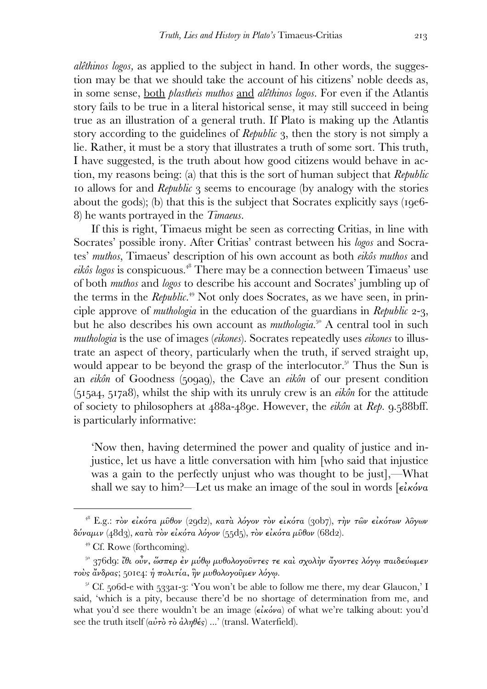*alêthinos logos,* as applied to the subject in hand. In other words, the suggestion may be that we should take the account of his citizens' noble deeds as, in some sense, both *plastheis muthos* and *alêthinos logos*. For even if the Atlantis story fails to be true in a literal historical sense, it may still succeed in being true as an illustration of a general truth. If Plato is making up the Atlantis story according to the guidelines of *Republic* 3, then the story is not simply a lie. Rather, it must be a story that illustrates a truth of some sort. This truth, I have suggested, is the truth about how good citizens would behave in action, my reasons being: (a) that this is the sort of human subject that *Republic* allows for and *Republic* seems to encourage (by analogy with the stories about the gods); (b) that this is the subject that Socrates explicitly says ( $i$  $q$  $e$  $6$ -) he wants portrayed in the *Timaeus*.

 If this is right, Timaeus might be seen as correcting Critias, in line with Socrates' possible irony. After Critias' contrast between his *logos* and Socrates' *muthos*, Timaeus' description of his own account as both *eikôs muthos* and eikôs logos is conspicuous.<sup>48</sup> There may be a connection between Timaeus' use of both *muthos* and *logos* to describe his account and Socrates' jumbling up of the terms in the *Republic*.<sup>49</sup> Not only does Socrates, as we have seen, in principle approve of *muthologia* in the education of the guardians in *Republic* 2-3, but he also describes his own account as *muthologia*.<sup>50</sup> A central tool in such *muthologia* is the use of images (*eikones*). Socrates repeatedly uses *eikones* to illustrate an aspect of theory, particularly when the truth, if served straight up, would appear to be beyond the grasp of the interlocutor.<sup> $51$ </sup> Thus the Sun is an *eikôn* of Goodness (509a9), the Cave an *eikôn* of our present condition  $(515a4, 517a8)$ , whilst the ship with its unruly crew is an *eikôn* for the attitude of society to philosophers at 488a-489e. However, the *eikôn* at *Rep.* 9.588bff. is particularly informative:

'Now then, having determined the power and quality of justice and injustice, let us have a little conversation with him [who said that injustice was a gain to the perfectly unjust who was thought to be just],—What shall we say to him?—Let us make an image of the soul in words  $\epsilon \vec{i} \kappa \vec{v}$ 

<sup>&</sup>lt;sup>48</sup> E.g.: τὸν εἰκότα μῦθον (29d2), κατὰ λόγον τὸν εἰκότα (30b7), τὴν τῶν εἰκότων λδγων δύναμιν (48d3), κατὰ τὸν εἰκότα λόγον (55d5), τὸν εἰκότα μῦθον (68d2).

<sup>&</sup>lt;sup>49</sup> Cf. Rowe (forthcoming).

<sup>&</sup>lt;sup>50</sup> 376d9: <sup>"</sup> "θι οὖν, ὥσπερ ἐν μύθω μυθολογοῦντες τε καὶ σχολὴν ἄγοντες λόγω παιδεύωμεν τούς ἄνδρας; 501e4: ή πολιτία, ην μυθολογοῦμεν λόγ*φ*.

 $5<sup>T</sup>$  Cf. 506d-e with 533a1-3: 'You won't be able to follow me there, my dear Glaucon,' I said, 'which is a pity, because there'd be no shortage of determination from me, and what you'd see there wouldn't be an image (είκόνα) of what we're talking about: you'd see the truth itself  $(a\vec{v}\tau\vec{o}\tau\vec{o}\hat{a}\lambda\eta\theta\vec{\epsilon}s)$  ...' (transl. Waterfield).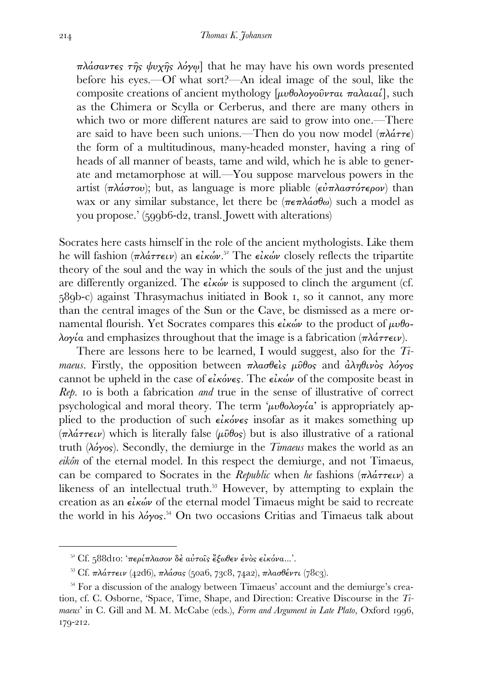πλάσαντες τῆς ψυχῆς λόγῳ] that he may have his own words presented before his eyes.—Of what sort?—An ideal image of the soul, like the composite creations of ancient mythology  $[μυθολογοῦνται παλαιαί]$ , such as the Chimera or Scylla or Cerberus, and there are many others in which two or more different natures are said to grow into one.—There are said to have been such unions.—Then do you now model  $(\pi \lambda d \tau \tau \epsilon)$ the form of a multitudinous, many-headed monster, having a ring of heads of all manner of beasts, tame and wild, which he is able to generate and metamorphose at will.—You suppose marvelous powers in the artist (πλάστου); but, as language is more pliable ( $\epsilon \dot{\nu} \pi \lambda \alpha \sigma \tau \acute{\sigma} \tau \epsilon \rho \acute{\sigma} \nu$ ) than wax or any similar substance, let there be  $(\pi \epsilon \pi \lambda \dot{\alpha} \theta \omega)$  such a model as you propose.' (599b6-d2, transl. Jowett with alterations)

Socrates here casts himself in the role of the ancient mythologists. Like them he will fashion  $(\pi \lambda d \tau \tau \epsilon \nu)$  an  $\epsilon \lambda d \nu$ .<sup>52</sup> The  $\epsilon \lambda d \nu$  closely reflects the tripartite theory of the soul and the way in which the souls of the just and the unjust are differently organized. The  $\epsilon \cdot \epsilon \cdot \omega \cdot \omega$  is supposed to clinch the argument (cf. 58qb-c) against Thrasymachus initiated in Book I, so it cannot, any more than the central images of the Sun or the Cave, be dismissed as a mere ornamental flourish. Yet Socrates compares this  $\epsilon \dot{\iota} \kappa \dot{\omega} \nu$  to the product of  $\mu \nu \theta$ oλογία and emphasizes throughout that the image is a fabrication (πλάττειν).

 There are lessons here to be learned, I would suggest, also for the *Timaeus*. Firstly, the opposition between  $\pi \lambda \alpha \partial \theta \epsilon \delta \varsigma$  and  $\alpha \lambda \eta \theta \iota \nu \delta \varsigma$  λόγος cannot be upheld in the case of εἰκόνες. The εἰκών of the composite beast in *Rep.*  is both a fabrication *and* true in the sense of illustrative of correct psychological and moral theory. The term ' $\mu\nu\theta$ ολογία' is appropriately applied to the production of such  $\epsilon \cdot \epsilon' \cdot \epsilon' \cdot \epsilon'$  insofar as it makes something up ( $\pi \lambda \Delta \tau \tau \epsilon \nu$ ) which is literally false ( $\mu \hat{\nu} \theta$ os) but is also illustrative of a rational truth (λόγος). Secondly, the demiurge in the *Timaeus* makes the world as an *eikôn* of the eternal model. In this respect the demiurge, and not Timaeus, can be compared to Socrates in the *Republic* when *he* fashions (πλάττειν) a likeness of an intellectual truth.<sup>53</sup> However, by attempting to explain the creation as an εἰκών of the eternal model Timaeus might be said to recreate the world in his λόγος.<sup>54</sup> On two occasions Critias and Timaeus talk about

<sup>&</sup>lt;sup>52</sup> Cf. 588d10: 'περίπλασον δε αὐτοῖς ἔξωθεν ενὸς εἰκόνα...'.

<sup>&</sup>lt;sup>53</sup> Cf. πλάττειν (42d6), πλάσας (50a6, 73c8, 74a2), πλασθέντι (78c3).

<sup>&</sup>lt;sup>54</sup> For a discussion of the analogy between Timaeus' account and the demiurge's creation, cf. C. Osborne, 'Space, Time, Shape, and Direction: Creative Discourse in the *Timaeus*' in C. Gill and M. M. McCabe (eds.), *Form and Argument in Late Plato*, Oxford 1996, 179-212.